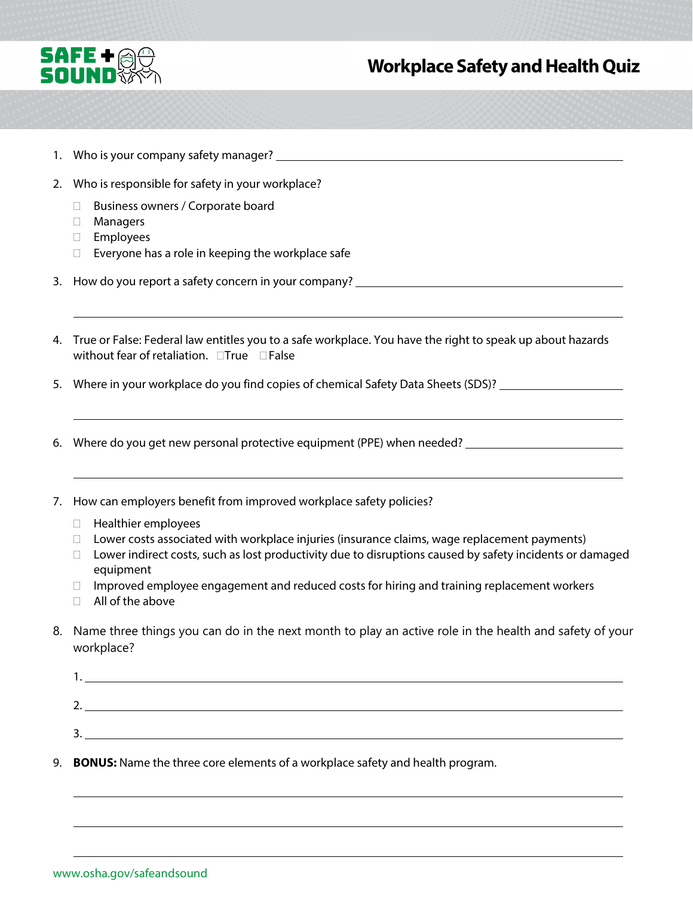

## **Workplace Safety and Health Quiz**

- 1. Who is your company safety manager?
- 2. Who is responsible for safety in your workplace?
	- □ Business owners / Corporate board
	- Managers
	- Employees
	- $\Box$  Everyone has a role in keeping the workplace safe
- 3. How do you report a safety concern in your company?
- without fear of retaliation.  $\Box$ True  $\Box$  False 4. True or False: Federal law entitles you to a safe workplace. You have the right to speak up about hazards
- 5. Where in your workplace do you find copies of chemical Safety Data Sheets (SDS)?
- 6. Where do you get new personal protective equipment (PPE) when needed?
- 7. How can employers benefit from improved workplace safety policies?
	- Healthier employees
	- $\Box$  Lower costs associated with workplace injuries (insurance claims, wage replacement payments)
	- $\Box$  Lower indirect costs, such as lost productivity due to disruptions caused by safety incidents or damaged equipment
	- $\Box$  Improved employee engagement and reduced costs for hiring and training replacement workers
	- $\Box$  All of the above
- 8. Name three things you can do in the next month to play an active role in the health and safety of your workplace?

| . .      |  |  |  |
|----------|--|--|--|
|          |  |  |  |
| <u>.</u> |  |  |  |
|          |  |  |  |
| J.       |  |  |  |
|          |  |  |  |

9. **BONUS:** Name the three core elements of a workplace safety and health program.